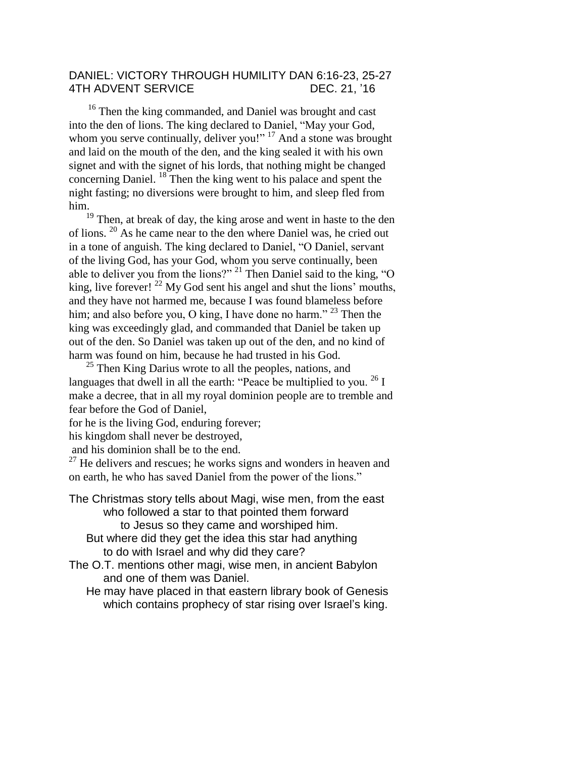## DANIEL: VICTORY THROUGH HUMILITY DAN 6:16-23, 25-27 4TH ADVENT SERVICE DEC. 21, '16

<sup>16</sup> Then the king commanded, and Daniel was brought and cast into the den of lions. The king declared to Daniel, "May your God, whom you serve continually, deliver you!" <sup>17</sup> And a stone was brought and laid on the mouth of the den, and the king sealed it with his own signet and with the signet of his lords, that nothing might be changed concerning Daniel. <sup>18</sup> Then the king went to his palace and spent the night fasting; no diversions were brought to him, and sleep fled from him.

 $\frac{19}{19}$  Then, at break of day, the king arose and went in haste to the den of lions. <sup>20</sup> As he came near to the den where Daniel was, he cried out in a tone of anguish. The king declared to Daniel, "O Daniel, servant of the living God, has your God, whom you serve continually, been able to deliver you from the lions?" <sup>21</sup> Then Daniel said to the king, "O king, live forever!  $^{22}$  My God sent his angel and shut the lions' mouths, and they have not harmed me, because I was found blameless before him; and also before you, O king, I have done no harm."  $^{23}$  Then the king was exceedingly glad, and commanded that Daniel be taken up out of the den. So Daniel was taken up out of the den, and no kind of harm was found on him, because he had trusted in his God.

 $25$  Then King Darius wrote to all the peoples, nations, and languages that dwell in all the earth: "Peace be multiplied to you.  $^{26}$  I make a decree, that in all my royal dominion people are to tremble and fear before the God of Daniel,

for he is the living God, enduring forever;

his kingdom shall never be destroyed,

and his dominion shall be to the end.

 $27$  He delivers and rescues; he works signs and wonders in heaven and on earth, he who has saved Daniel from the power of the lions."

The Christmas story tells about Magi, wise men, from the east who followed a star to that pointed them forward to Jesus so they came and worshiped him.

But where did they get the idea this star had anything to do with Israel and why did they care?

The O.T. mentions other magi, wise men, in ancient Babylon and one of them was Daniel.

He may have placed in that eastern library book of Genesis which contains prophecy of star rising over Israel's king.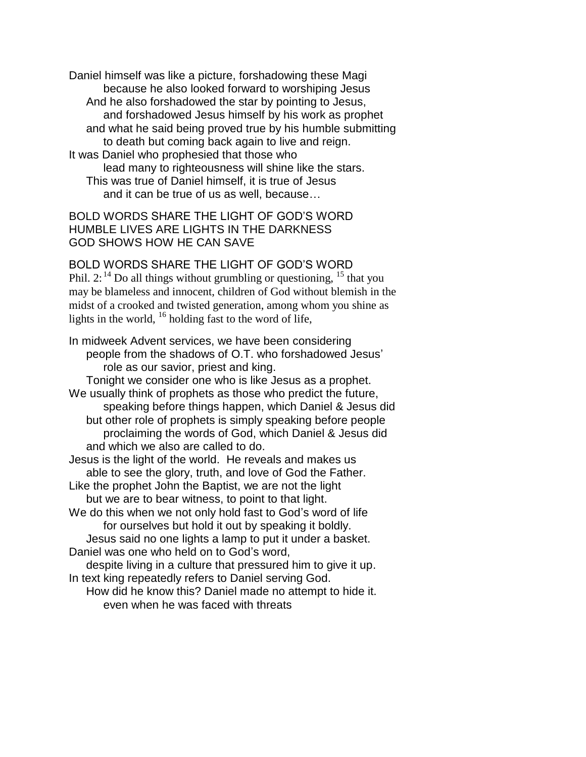Daniel himself was like a picture, forshadowing these Magi because he also looked forward to worshiping Jesus And he also forshadowed the star by pointing to Jesus, and forshadowed Jesus himself by his work as prophet and what he said being proved true by his humble submitting to death but coming back again to live and reign. It was Daniel who prophesied that those who lead many to righteousness will shine like the stars. This was true of Daniel himself, it is true of Jesus and it can be true of us as well, because…

BOLD WORDS SHARE THE LIGHT OF GOD'S WORD HUMBLE LIVES ARE LIGHTS IN THE DARKNESS GOD SHOWS HOW HE CAN SAVE

BOLD WORDS SHARE THE LIGHT OF GOD'S WORD Phil.  $2:^{14}$  Do all things without grumbling or questioning,  $^{15}$  that you may be blameless and innocent, children of God without blemish in the midst of a crooked and twisted generation, among whom you shine as lights in the world,  $^{16}$  holding fast to the word of life,

In midweek Advent services, we have been considering people from the shadows of O.T. who forshadowed Jesus' role as our savior, priest and king.

Tonight we consider one who is like Jesus as a prophet. We usually think of prophets as those who predict the future, speaking before things happen, which Daniel & Jesus did but other role of prophets is simply speaking before people proclaiming the words of God, which Daniel & Jesus did and which we also are called to do.

Jesus is the light of the world. He reveals and makes us able to see the glory, truth, and love of God the Father.

Like the prophet John the Baptist, we are not the light but we are to bear witness, to point to that light.

We do this when we not only hold fast to God's word of life for ourselves but hold it out by speaking it boldly. Jesus said no one lights a lamp to put it under a basket.

Daniel was one who held on to God's word,

despite living in a culture that pressured him to give it up. In text king repeatedly refers to Daniel serving God.

How did he know this? Daniel made no attempt to hide it. even when he was faced with threats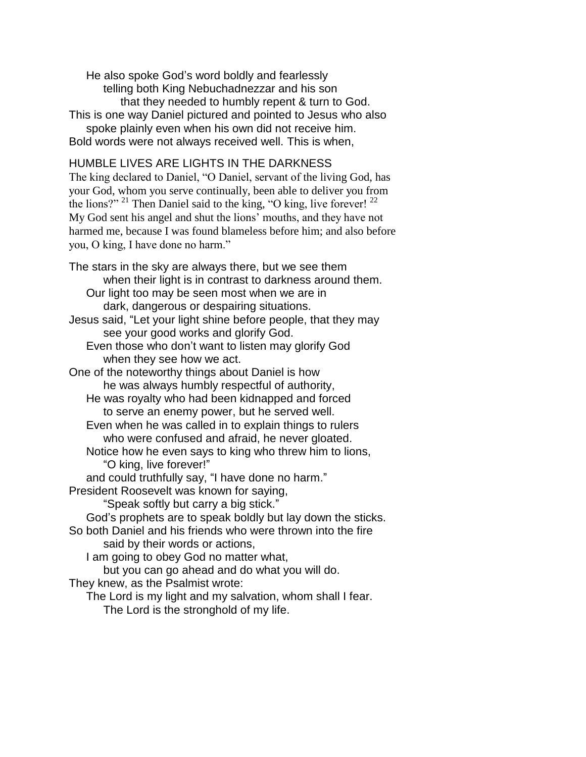He also spoke God's word boldly and fearlessly telling both King Nebuchadnezzar and his son that they needed to humbly repent & turn to God. This is one way Daniel pictured and pointed to Jesus who also spoke plainly even when his own did not receive him. Bold words were not always received well. This is when,

## HUMBLE LIVES ARE LIGHTS IN THE DARKNESS

The king declared to Daniel, "O Daniel, servant of the living God, has your God, whom you serve continually, been able to deliver you from the lions?" <sup>21</sup> Then Daniel said to the king, "O king, live forever!  $^{22}$ My God sent his angel and shut the lions' mouths, and they have not harmed me, because I was found blameless before him; and also before you, O king, I have done no harm."

The stars in the sky are always there, but we see them when their light is in contrast to darkness around them. Our light too may be seen most when we are in dark, dangerous or despairing situations. Jesus said, "Let your light shine before people, that they may see your good works and glorify God. Even those who don't want to listen may glorify God when they see how we act. One of the noteworthy things about Daniel is how he was always humbly respectful of authority, He was royalty who had been kidnapped and forced to serve an enemy power, but he served well. Even when he was called in to explain things to rulers who were confused and afraid, he never gloated. Notice how he even says to king who threw him to lions, "O king, live forever!" and could truthfully say, "I have done no harm." President Roosevelt was known for saying, "Speak softly but carry a big stick." God's prophets are to speak boldly but lay down the sticks. So both Daniel and his friends who were thrown into the fire said by their words or actions, I am going to obey God no matter what, but you can go ahead and do what you will do. They knew, as the Psalmist wrote:

The Lord is my light and my salvation, whom shall I fear. The Lord is the stronghold of my life.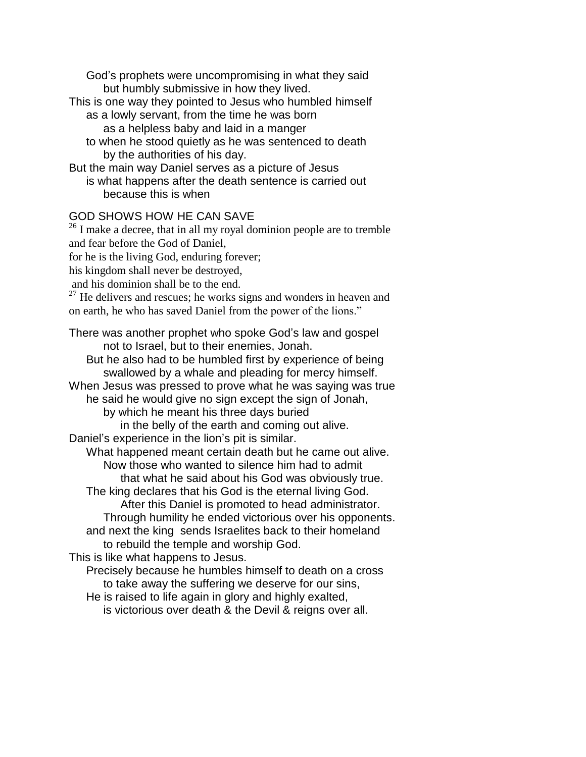God's prophets were uncompromising in what they said but humbly submissive in how they lived.

This is one way they pointed to Jesus who humbled himself

- as a lowly servant, from the time he was born as a helpless baby and laid in a manger
- to when he stood quietly as he was sentenced to death by the authorities of his day.

But the main way Daniel serves as a picture of Jesus is what happens after the death sentence is carried out because this is when

## GOD SHOWS HOW HE CAN SAVE

 $26$  I make a decree, that in all my royal dominion people are to tremble and fear before the God of Daniel, for he is the living God, enduring forever; his kingdom shall never be destroyed, and his dominion shall be to the end.  $27$  He delivers and rescues; he works signs and wonders in heaven and on earth, he who has saved Daniel from the power of the lions." There was another prophet who spoke God's law and gospel

not to Israel, but to their enemies, Jonah. But he also had to be humbled first by experience of being swallowed by a whale and pleading for mercy himself. When Jesus was pressed to prove what he was saying was true he said he would give no sign except the sign of Jonah, by which he meant his three days buried in the belly of the earth and coming out alive. Daniel's experience in the lion's pit is similar. What happened meant certain death but he came out alive. Now those who wanted to silence him had to admit that what he said about his God was obviously true. The king declares that his God is the eternal living God. After this Daniel is promoted to head administrator. Through humility he ended victorious over his opponents. and next the king sends Israelites back to their homeland to rebuild the temple and worship God. This is like what happens to Jesus. Precisely because he humbles himself to death on a cross

to take away the suffering we deserve for our sins, He is raised to life again in glory and highly exalted,

is victorious over death & the Devil & reigns over all.